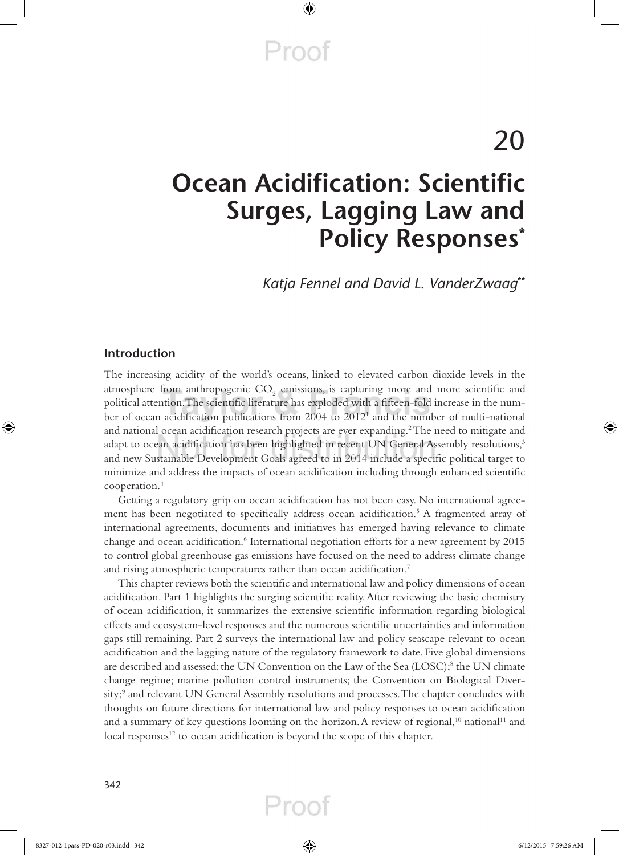# Proof

⊕

# 20

## **Ocean Acidification: Scientific Surges, Lagging Law and Policy Responses\***

*Katja Fennel and David L. VanderZwaag***\*\***

## **Introduction**

⊕

The increasing acidity of the world's oceans, linked to elevated carbon dioxide levels in the atmosphere from anthropogenic  $\mathrm{CO}_2$  emissions, is capturing more and more scientific and political attention. The scientific literature has exploded with a fifteen-fold increase in the number of ocean acidification publications from 2004 to 20121 and the number of multi-national and national ocean acidification research projects are ever expanding.<sup>2</sup> The need to mitigate and adapt to ocean acidification has been highlighted in recent UN General Assembly resolutions,<sup>3</sup> and new Sustainable Development Goals agreed to in 2014 include a specific political target to minimize and address the impacts of ocean acidification including through enhanced scientific cooperation.4

Getting a regulatory grip on ocean acidification has not been easy. No international agreement has been negotiated to specifically address ocean acidification.<sup>5</sup> A fragmented array of international agreements, documents and initiatives has emerged having relevance to climate change and ocean acidification.<sup>6</sup> International negotiation efforts for a new agreement by 2015 to control global greenhouse gas emissions have focused on the need to address climate change and rising atmospheric temperatures rather than ocean acidification.<sup>7</sup>

This chapter reviews both the scientific and international law and policy dimensions of ocean acidification. Part 1 highlights the surging scientific reality. After reviewing the basic chemistry of ocean acidification, it summarizes the extensive scientific information regarding biological effects and ecosystem-level responses and the numerous scientific uncertainties and information gaps still remaining. Part 2 surveys the international law and policy seascape relevant to ocean acidification and the lagging nature of the regulatory framework to date. Five global dimensions are described and assessed: the UN Convention on the Law of the Sea (LOSC);<sup>8</sup> the UN climate change regime; marine pollution control instruments; the Convention on Biological Diversity;<sup>9</sup> and relevant UN General Assembly resolutions and processes. The chapter concludes with thoughts on future directions for international law and policy responses to ocean acidification and a summary of key questions looming on the horizon. A review of regional,<sup>10</sup> national<sup>11</sup> and local responses<sup>12</sup> to ocean acidification is beyond the scope of this chapter.

Proot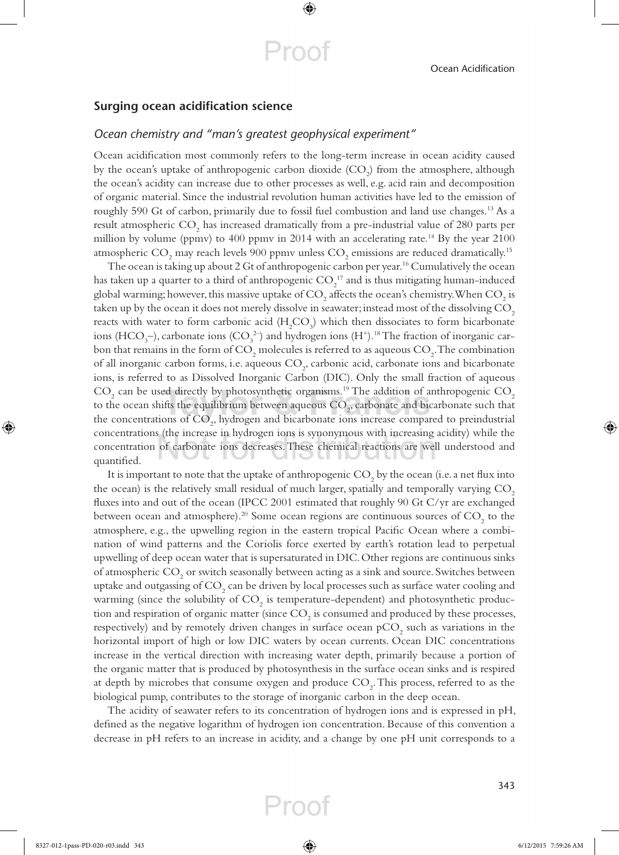#### **Surging ocean acidification science**

#### *Ocean chemistry and "man's greatest geophysical experiment"*

Ocean acidification most commonly refers to the long-term increase in ocean acidity caused by the ocean's uptake of anthropogenic carbon dioxide  $(CO_2)$  from the atmosphere, although the ocean's acidity can increase due to other processes as well, e.g. acid rain and decomposition of organic material. Since the industrial revolution human activities have led to the emission of roughly 590 Gt of carbon, primarily due to fossil fuel combustion and land use changes.<sup>13</sup> As a result atmospheric  $\mathrm{CO}_2$  has increased dramatically from a pre-industrial value of 280 parts per million by volume (ppmv) to 400 ppmv in 2014 with an accelerating rate.14 By the year 2100 atmospheric CO<sub>2</sub> may reach levels 900 ppmv unless  $\mathrm{CO}_2$  emissions are reduced dramatically.<sup>15</sup>

 $\bigoplus$ 

Proof

The ocean is taking up about 2 Gt of anthropogenic carbon per year.<sup>16</sup> Cumulatively the ocean has taken up a quarter to a third of anthropogenic  $\mathrm{CO}_2^{\text{ 17}}$  and is thus mitigating human-induced global warming; however, this massive uptake of  $\mathrm{CO}_2$  affects the ocean's chemistry. When  $\mathrm{CO}_2$  is taken up by the ocean it does not merely dissolve in seawater; instead most of the dissolving CO<sub>2</sub> reacts with water to form carbonic acid  $(\mathrm{H_{2}CO}_{3})$  which then dissociates to form bicarbonate ions (HCO<sub>3</sub><sup>-</sup>), carbonate ions (CO<sub>3</sub><sup>2</sup>) and hydrogen ions (H<sup>+</sup>).<sup>18</sup> The fraction of inorganic carbon that remains in the form of  $\mathrm{CO}_2$  molecules is referred to as aqueous  $\mathrm{CO}_2$ . The combination of all inorganic carbon forms, i.e. aqueous CO<sub>2</sub>, carbonic acid, carbonate ions and bicarbonate ions, is referred to as Dissolved Inorganic Carbon (DIC). Only the small fraction of aqueous  $\mathrm{CO}_2$  can be used directly by photosynthetic organisms.<sup>19</sup> The addition of anthropogenic  $\mathrm{CO}_2$ to the ocean shifts the equilibrium between aqueous  $\mathrm{CO}_2$ , carbonate and bicarbonate such that the concentrations of CO<sub>2</sub>, hydrogen and bicarbonate ions increase compared to preindustrial concentrations (the increase in hydrogen ions is synonymous with increasing acidity) while the concentration of carbonate ions decreases. These chemical reactions are well understood and quantified.

It is important to note that the uptake of anthropogenic  $\mathrm{CO}_2$  by the ocean (i.e. a net flux into the ocean) is the relatively small residual of much larger, spatially and temporally varying  $CO$ , fluxes into and out of the ocean (IPCC 2001 estimated that roughly 90 Gt C/yr are exchanged between ocean and atmosphere).<sup>20</sup> Some ocean regions are continuous sources of  $\mathrm{CO}_2$  to the atmosphere, e.g., the upwelling region in the eastern tropical Pacific Ocean where a combination of wind patterns and the Coriolis force exerted by earth's rotation lead to perpetual upwelling of deep ocean water that is supersaturated in DIC. Other regions are continuous sinks of atmospheric  $\mathrm{CO}_2$  or switch seasonally between acting as a sink and source. Switches between uptake and outgassing of  $\mathrm{CO}_2$  can be driven by local processes such as surface water cooling and warming (since the solubility of  $CO_2$  is temperature-dependent) and photosynthetic production and respiration of organic matter (since  $\mathrm{CO}_2$  is consumed and produced by these processes, respectively) and by remotely driven changes in surface ocean  $\tt pCO_2$  such as variations in the horizontal import of high or low DIC waters by ocean currents. Ocean DIC concentrations increase in the vertical direction with increasing water depth, primarily because a portion of the organic matter that is produced by photosynthesis in the surface ocean sinks and is respired at depth by microbes that consume oxygen and produce  $\mathrm{CO}_2$ . This process, referred to as the biological pump, contributes to the storage of inorganic carbon in the deep ocean.

The acidity of seawater refers to its concentration of hydrogen ions and is expressed in pH, defined as the negative logarithm of hydrogen ion concentration. Because of this convention a decrease in pH refers to an increase in acidity, and a change by one pH unit corresponds to a

Proof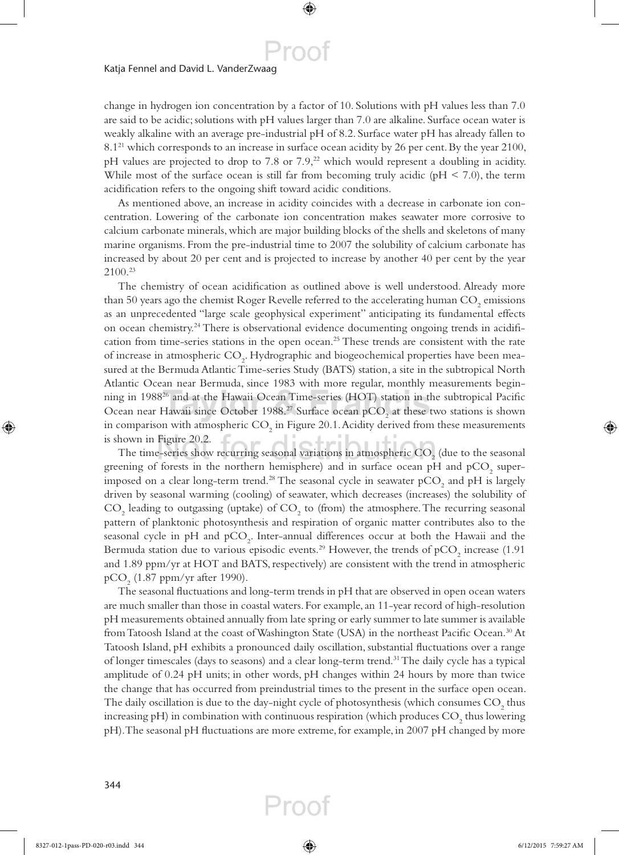change in hydrogen ion concentration by a factor of 10. Solutions with pH values less than 7.0 are said to be acidic; solutions with pH values larger than 7.0 are alkaline. Surface ocean water is weakly alkaline with an average pre-industrial pH of 8.2. Surface water pH has already fallen to 8.121 which corresponds to an increase in surface ocean acidity by 26 per cent. By the year 2100, pH values are projected to drop to 7.8 or 7.9,<sup>22</sup> which would represent a doubling in acidity. While most of the surface ocean is still far from becoming truly acidic ( $pH < 7.0$ ), the term acidification refers to the ongoing shift toward acidic conditions.

⊕

As mentioned above, an increase in acidity coincides with a decrease in carbonate ion concentration. Lowering of the carbonate ion concentration makes seawater more corrosive to calcium carbonate minerals, which are major building blocks of the shells and skeletons of many marine organisms. From the pre-industrial time to 2007 the solubility of calcium carbonate has increased by about 20 per cent and is projected to increase by another 40 per cent by the year 2100.23

The chemistry of ocean acidification as outlined above is well understood. Already more than 50 years ago the chemist Roger Revelle referred to the accelerating human  $\mathrm{CO}_2$  emissions as an unprecedented "large scale geophysical experiment" anticipating its fundamental effects on ocean chemistry.24 There is observational evidence documenting ongoing trends in acidification from time-series stations in the open ocean.<sup>25</sup> These trends are consistent with the rate of increase in atmospheric CO<sub>2</sub>. Hydrographic and biogeochemical properties have been measured at the Bermuda Atlantic Time-series Study (BATS) station, a site in the subtropical North Atlantic Ocean near Bermuda, since 1983 with more regular, monthly measurements beginning in 1988<sup>26</sup> and at the Hawaii Ocean Time-series (HOT) station in the subtropical Pacific Ocean near Hawaii since October 1988.<sup>27</sup> Surface ocean  $pCO_2$  at these two stations is shown in comparison with atmospheric  $\mathrm{CO}_2$  in Figure 20.1. Acidity derived from these measurements is shown in Figure 20.2.

The time-series show recurring seasonal variations in atmospheric  $\mathrm{CO}_\mathrm{2}$  (due to the seasonal greening of forests in the northern hemisphere) and in surface ocean pH and  $\tt pCO_2$  superimposed on a clear long-term trend.<sup>28</sup> The seasonal cycle in seawater  $\tt pCO_2$  and  $\tt pH$  is largely driven by seasonal warming (cooling) of seawater, which decreases (increases) the solubility of  $\mathrm{CO}_2$  leading to outgassing (uptake) of  $\mathrm{CO}_2$  to (from) the atmosphere. The recurring seasonal pattern of planktonic photosynthesis and respiration of organic matter contributes also to the seasonal cycle in pH and  $\tt pCO_2$ . Inter-annual differences occur at both the Hawaii and the Bermuda station due to various episodic events.<sup>29</sup> However, the trends of pCO<sub>2</sub> increase (1.91 and 1.89 ppm/yr at HOT and BATS, respectively) are consistent with the trend in atmospheric  $pCO<sub>2</sub>$  (1.87 ppm/yr after 1990).

The seasonal fluctuations and long-term trends in pH that are observed in open ocean waters are much smaller than those in coastal waters. For example, an 11-year record of high-resolution pH measurements obtained annually from late spring or early summer to late summer is available from Tatoosh Island at the coast of Washington State (USA) in the northeast Pacific Ocean.30 At Tatoosh Island, pH exhibits a pronounced daily oscillation, substantial fluctuations over a range of longer timescales (days to seasons) and a clear long-term trend.31 The daily cycle has a typical amplitude of 0.24 pH units; in other words, pH changes within 24 hours by more than twice the change that has occurred from preindustrial times to the present in the surface open ocean. The daily oscillation is due to the day-night cycle of photosynthesis (which consumes  $\mathrm{CO}_2$  thus increasing pH) in combination with continuous respiration (which produces  $\mathrm{CO}_2$  thus lowering pH). The seasonal pH fluctuations are more extreme, for example, in 2007 pH changed by more

Proot

↔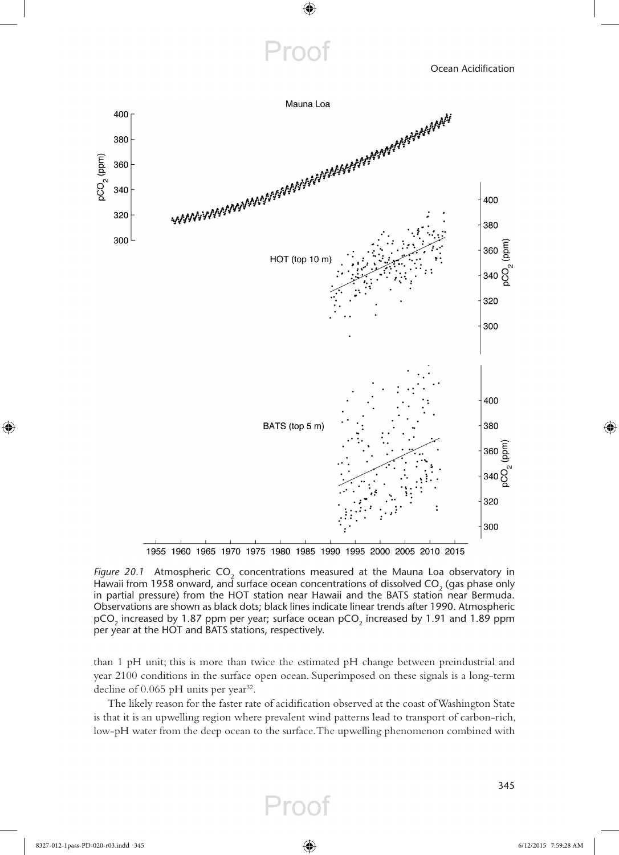



 $\bigoplus$ 

1955 1960 1965 1970 1975 1980 1985 1990 1995 2000 2005 2010 2015

*Figure* 20.1 Atmospheric CO<sub>2</sub> concentrations measured at the Mauna Loa observatory in Hawaii from 1958 onward, and surface ocean concentrations of dissolved CO<sub>2</sub> (gas phase only in partial pressure) from the HOT station near Hawaii and the BATS station near Bermuda. Observations are shown as black dots; black lines indicate linear trends after 1990. Atmospheric pCO<sub>2</sub> increased by 1.87 ppm per year; surface ocean pCO<sub>2</sub> increased by 1.91 and 1.89 ppm per year at the HOT and BATS stations, respectively.

than 1 pH unit; this is more than twice the estimated pH change between preindustrial and year 2100 conditions in the surface open ocean. Superimposed on these signals is a long-term decline of  $0.065$  pH units per year<sup>32</sup>.

The likely reason for the faster rate of acidification observed at the coast of Washington State is that it is an upwelling region where prevalent wind patterns lead to transport of carbon-rich, low-pH water from the deep ocean to the surface. The upwelling phenomenon combined with

Proot

⊕

⊕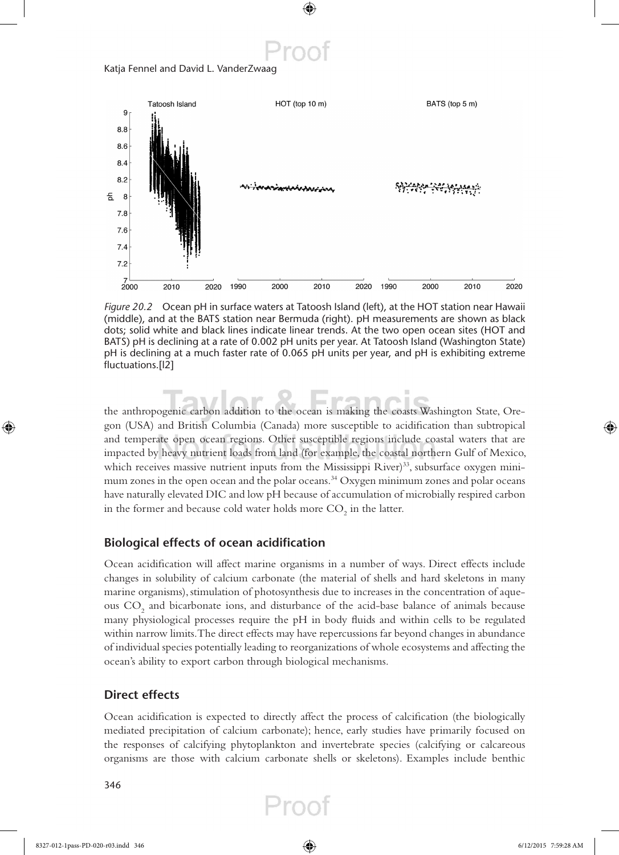

⊕

Katja Fennel and David L. VanderZwaag



*Figure 20.2* Ocean pH in surface waters at Tatoosh Island (left), at the HOT station near Hawaii (middle), and at the BATS station near Bermuda (right). pH measurements are shown as black dots; solid white and black lines indicate linear trends. At the two open ocean sites (HOT and BATS) pH is declining at a rate of 0.002 pH units per year. At Tatoosh Island (Washington State) pH is declining at a much faster rate of 0.065 pH units per year, and pH is exhibiting extreme fluctuations.[l2]

the anthropogenic carbon addition to the ocean is making the coasts Washington State, Oregon (USA) and British Columbia (Canada) more susceptible to acidification than subtropical and temperate open ocean regions. Other susceptible regions include coastal waters that are impacted by heavy nutrient loads from land (for example, the coastal northern Gulf of Mexico, which receives massive nutrient inputs from the Mississippi River $33$ , subsurface oxygen minimum zones in the open ocean and the polar oceans. $34$  Oxygen minimum zones and polar oceans have naturally elevated DIC and low pH because of accumulation of microbially respired carbon in the former and because cold water holds more  $\mathrm{CO}_2^{}$  in the latter.

## **Biological effects of ocean acidification**

Ocean acidification will affect marine organisms in a number of ways. Direct effects include changes in solubility of calcium carbonate (the material of shells and hard skeletons in many marine organisms), stimulation of photosynthesis due to increases in the concentration of aqueous  $\mathrm{CO}_2$  and bicarbonate ions, and disturbance of the acid-base balance of animals because many physiological processes require the pH in body fluids and within cells to be regulated within narrow limits. The direct effects may have repercussions far beyond changes in abundance of individual species potentially leading to reorganizations of whole ecosystems and affecting the ocean's ability to export carbon through biological mechanisms.

## **Direct effects**

Ocean acidification is expected to directly affect the process of calcification (the biologically mediated precipitation of calcium carbonate); hence, early studies have primarily focused on the responses of calcifying phytoplankton and invertebrate species (calcifying or calcareous organisms are those with calcium carbonate shells or skeletons). Examples include benthic





↔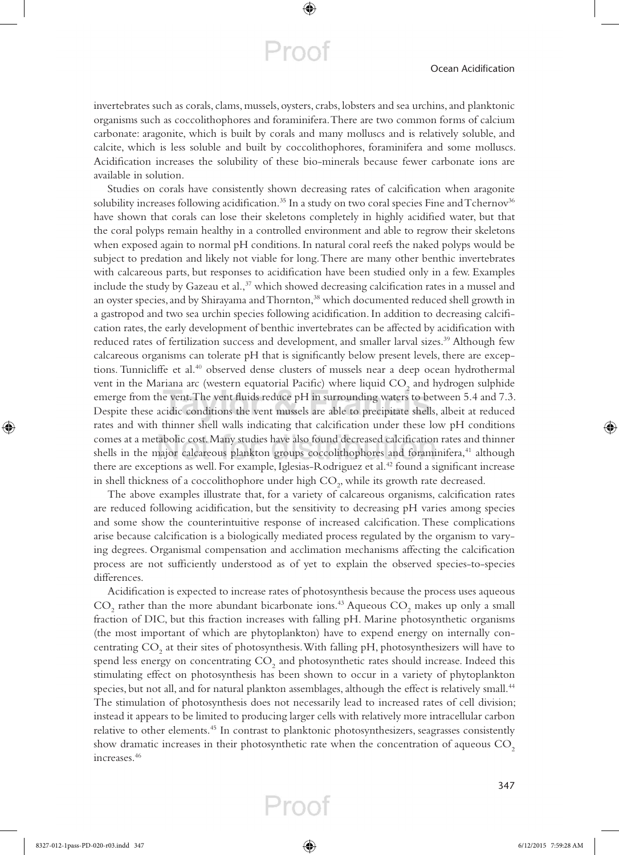#### Ocean Acidification

invertebrates such as corals, clams, mussels, oysters, crabs, lobsters and sea urchins, and planktonic organisms such as coccolithophores and foraminifera. There are two common forms of calcium carbonate: aragonite, which is built by corals and many molluscs and is relatively soluble, and calcite, which is less soluble and built by coccolithophores, foraminifera and some molluscs. Acidification increases the solubility of these bio-minerals because fewer carbonate ions are available in solution.

 $\bigoplus$ 

Proof

Studies on corals have consistently shown decreasing rates of calcification when aragonite solubility increases following acidification.<sup>35</sup> In a study on two coral species Fine and Tchernov<sup>36</sup> have shown that corals can lose their skeletons completely in highly acidified water, but that the coral polyps remain healthy in a controlled environment and able to regrow their skeletons when exposed again to normal pH conditions. In natural coral reefs the naked polyps would be subject to predation and likely not viable for long. There are many other benthic invertebrates with calcareous parts, but responses to acidification have been studied only in a few. Examples include the study by Gazeau et al., $37$  which showed decreasing calcification rates in a mussel and an oyster species, and by Shirayama and Thornton,<sup>38</sup> which documented reduced shell growth in a gastropod and two sea urchin species following acidification. In addition to decreasing calcification rates, the early development of benthic invertebrates can be affected by acidification with reduced rates of fertilization success and development, and smaller larval sizes.<sup>39</sup> Although few calcareous organisms can tolerate pH that is significantly below present levels, there are exceptions. Tunnicliffe et al.<sup>40</sup> observed dense clusters of mussels near a deep ocean hydrothermal vent in the Mariana arc (western equatorial Pacific) where liquid  $\mathrm{CO}_2$  and hydrogen sulphide emerge from the vent. The vent fluids reduce pH in surrounding waters to between 5.4 and 7.3. Despite these acidic conditions the vent mussels are able to precipitate shells, albeit at reduced rates and with thinner shell walls indicating that calcification under these low pH conditions comes at a metabolic cost. Many studies have also found decreased calcification rates and thinner shells in the major calcareous plankton groups coccolithophores and foraminifera,<sup>41</sup> although there are exceptions as well. For example, Iglesias-Rodriguez et al.<sup>42</sup> found a significant increase in shell thickness of a coccolithophore under high  $\mathrm{CO}_2^{}$ , while its growth rate decreased.

The above examples illustrate that, for a variety of calcareous organisms, calcification rates are reduced following acidification, but the sensitivity to decreasing pH varies among species and some show the counterintuitive response of increased calcification. These complications arise because calcification is a biologically mediated process regulated by the organism to varying degrees. Organismal compensation and acclimation mechanisms affecting the calcification process are not sufficiently understood as of yet to explain the observed species-to-species differences.

Acidification is expected to increase rates of photosynthesis because the process uses aqueous  $\mathrm{CO}_2$  rather than the more abundant bicarbonate ions.<sup>43</sup> Aqueous  $\mathrm{CO}_2$  makes up only a small fraction of DIC, but this fraction increases with falling pH. Marine photosynthetic organisms (the most important of which are phytoplankton) have to expend energy on internally concentrating  $\mathrm{CO}_2$  at their sites of photosynthesis. With falling pH, photosynthesizers will have to spend less energy on concentrating  $\mathrm{CO}_2$  and photosynthetic rates should increase. Indeed this stimulating effect on photosynthesis has been shown to occur in a variety of phytoplankton species, but not all, and for natural plankton assemblages, although the effect is relatively small.<sup>44</sup> The stimulation of photosynthesis does not necessarily lead to increased rates of cell division; instead it appears to be limited to producing larger cells with relatively more intracellular carbon relative to other elements.<sup>45</sup> In contrast to planktonic photosynthesizers, seagrasses consistently show dramatic increases in their photosynthetic rate when the concentration of aqueous  $CO$ , increases.46



↔

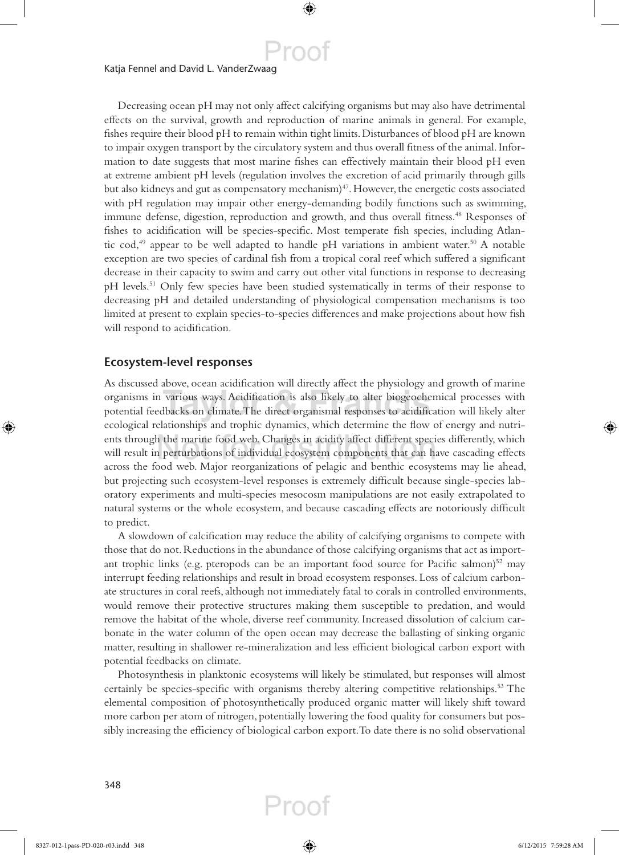$\bigoplus$ 

Decreasing ocean pH may not only affect calcifying organisms but may also have detrimental effects on the survival, growth and reproduction of marine animals in general. For example, fishes require their blood pH to remain within tight limits. Disturbances of blood pH are known to impair oxygen transport by the circulatory system and thus overall fitness of the animal. Information to date suggests that most marine fishes can effectively maintain their blood pH even at extreme ambient pH levels (regulation involves the excretion of acid primarily through gills but also kidneys and gut as compensatory mechanism)<sup>47</sup>. However, the energetic costs associated with pH regulation may impair other energy-demanding bodily functions such as swimming, immune defense, digestion, reproduction and growth, and thus overall fitness.<sup>48</sup> Responses of fishes to acidification will be species-specific. Most temperate fish species, including Atlantic cod,<sup>49</sup> appear to be well adapted to handle pH variations in ambient water.<sup>50</sup> A notable exception are two species of cardinal fish from a tropical coral reef which suffered a significant decrease in their capacity to swim and carry out other vital functions in response to decreasing pH levels.51 Only few species have been studied systematically in terms of their response to decreasing pH and detailed understanding of physiological compensation mechanisms is too limited at present to explain species-to-species differences and make projections about how fish will respond to acidification.

#### **Ecosystem-level responses**

As discussed above, ocean acidification will directly affect the physiology and growth of marine organisms in various ways. Acidification is also likely to alter biogeochemical processes with potential feedbacks on climate. The direct organismal responses to acidification will likely alter ecological relationships and trophic dynamics, which determine the flow of energy and nutrients through the marine food web. Changes in acidity affect different species differently, which will result in perturbations of individual ecosystem components that can have cascading effects across the food web. Major reorganizations of pelagic and benthic ecosystems may lie ahead, but projecting such ecosystem-level responses is extremely difficult because single-species laboratory experiments and multi-species mesocosm manipulations are not easily extrapolated to natural systems or the whole ecosystem, and because cascading effects are notoriously difficult to predict.

A slowdown of calcification may reduce the ability of calcifying organisms to compete with those that do not. Reductions in the abundance of those calcifying organisms that act as important trophic links (e.g. pteropods can be an important food source for Pacific salmon) $52$  may interrupt feeding relationships and result in broad ecosystem responses. Loss of calcium carbonate structures in coral reefs, although not immediately fatal to corals in controlled environments, would remove their protective structures making them susceptible to predation, and would remove the habitat of the whole, diverse reef community. Increased dissolution of calcium carbonate in the water column of the open ocean may decrease the ballasting of sinking organic matter, resulting in shallower re-mineralization and less efficient biological carbon export with potential feedbacks on climate.

Photosynthesis in planktonic ecosystems will likely be stimulated, but responses will almost certainly be species-specific with organisms thereby altering competitive relationships.53 The elemental composition of photosynthetically produced organic matter will likely shift toward more carbon per atom of nitrogen, potentially lowering the food quality for consumers but possibly increasing the efficiency of biological carbon export. To date there is no solid observational

⊕

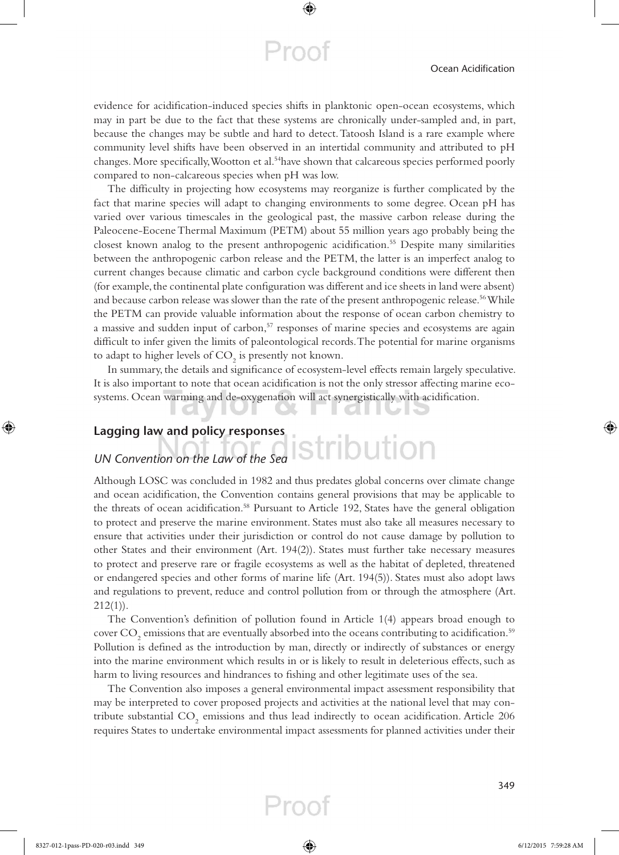evidence for acidification-induced species shifts in planktonic open-ocean ecosystems, which may in part be due to the fact that these systems are chronically under-sampled and, in part, because the changes may be subtle and hard to detect. Tatoosh Island is a rare example where community level shifts have been observed in an intertidal community and attributed to pH changes. More specifically, Wootton et al.<sup>54</sup>have shown that calcareous species performed poorly compared to non-calcareous species when pH was low.

⊕

Proof

The difficulty in projecting how ecosystems may reorganize is further complicated by the fact that marine species will adapt to changing environments to some degree. Ocean pH has varied over various timescales in the geological past, the massive carbon release during the Paleocene-Eocene Thermal Maximum (PETM) about 55 million years ago probably being the closest known analog to the present anthropogenic acidification.55 Despite many similarities between the anthropogenic carbon release and the PETM, the latter is an imperfect analog to current changes because climatic and carbon cycle background conditions were different then (for example, the continental plate configuration was different and ice sheets in land were absent) and because carbon release was slower than the rate of the present anthropogenic release.<sup>56</sup> While the PETM can provide valuable information about the response of ocean carbon chemistry to a massive and sudden input of carbon, $57$  responses of marine species and ecosystems are again difficult to infer given the limits of paleontological records. The potential for marine organisms to adapt to higher levels of  $\mathrm{CO}_2$  is presently not known.

In summary, the details and significance of ecosystem-level effects remain largely speculative. It is also important to note that ocean acidification is not the only stressor affecting marine ecosystems. Ocean warming and de-oxygenation will act synergistically with acidification.

٠

I GITUR

## **Lagging law and policy responses**

## *UN Convention on the Law of the Sea*

Although LOSC was concluded in 1982 and thus predates global concerns over climate change and ocean acidification, the Convention contains general provisions that may be applicable to the threats of ocean acidification.58 Pursuant to Article 192, States have the general obligation to protect and preserve the marine environment. States must also take all measures necessary to ensure that activities under their jurisdiction or control do not cause damage by pollution to other States and their environment (Art. 194(2)). States must further take necessary measures to protect and preserve rare or fragile ecosystems as well as the habitat of depleted, threatened or endangered species and other forms of marine life (Art. 194(5)). States must also adopt laws and regulations to prevent, reduce and control pollution from or through the atmosphere (Art.  $212(1)$ ).

The Convention's definition of pollution found in Article 1(4) appears broad enough to cover  $\mathrm{CO}_2$  emissions that are eventually absorbed into the oceans contributing to acidification.<sup>59</sup> Pollution is defined as the introduction by man, directly or indirectly of substances or energy into the marine environment which results in or is likely to result in deleterious effects, such as harm to living resources and hindrances to fishing and other legitimate uses of the sea.

The Convention also imposes a general environmental impact assessment responsibility that may be interpreted to cover proposed projects and activities at the national level that may contribute substantial  $\mathrm{CO}_2$  emissions and thus lead indirectly to ocean acidification. Article 206 requires States to undertake environmental impact assessments for planned activities under their

Proot

⊕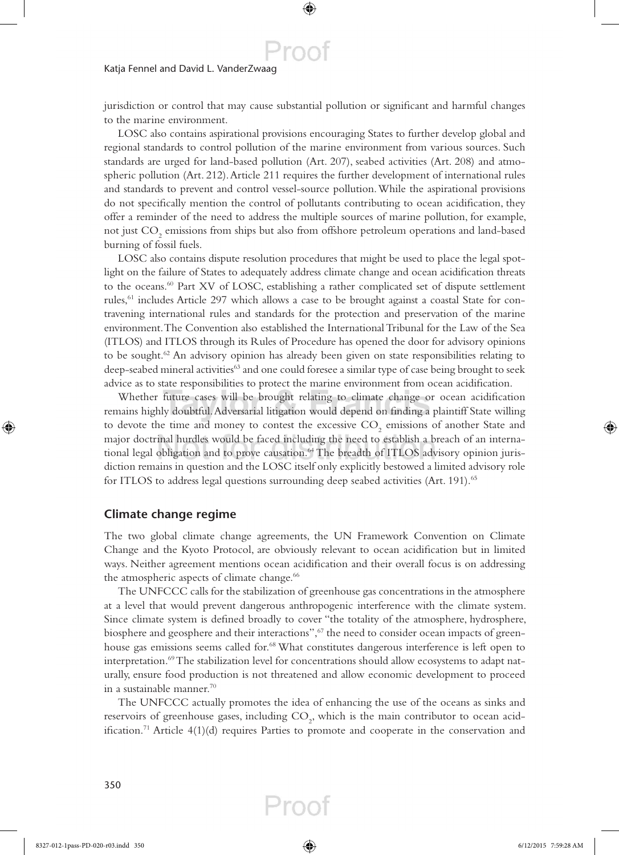jurisdiction or control that may cause substantial pollution or significant and harmful changes to the marine environment.

⊕

LOSC also contains aspirational provisions encouraging States to further develop global and regional standards to control pollution of the marine environment from various sources. Such standards are urged for land-based pollution (Art. 207), seabed activities (Art. 208) and atmospheric pollution (Art. 212). Article 211 requires the further development of international rules and standards to prevent and control vessel-source pollution. While the aspirational provisions do not specifically mention the control of pollutants contributing to ocean acidification, they offer a reminder of the need to address the multiple sources of marine pollution, for example, not just  $\mathrm{CO}_2$  emissions from ships but also from offshore petroleum operations and land-based burning of fossil fuels.

LOSC also contains dispute resolution procedures that might be used to place the legal spotlight on the failure of States to adequately address climate change and ocean acidification threats to the oceans.<sup>60</sup> Part XV of LOSC, establishing a rather complicated set of dispute settlement rules,<sup>61</sup> includes Article 297 which allows a case to be brought against a coastal State for contravening international rules and standards for the protection and preservation of the marine environment. The Convention also established the International Tribunal for the Law of the Sea (ITLOS) and ITLOS through its Rules of Procedure has opened the door for advisory opinions to be sought.<sup>62</sup> An advisory opinion has already been given on state responsibilities relating to deep-seabed mineral activities<sup>63</sup> and one could foresee a similar type of case being brought to seek advice as to state responsibilities to protect the marine environment from ocean acidification.

Whether future cases will be brought relating to climate change or ocean acidification remains highly doubtful. Adversarial litigation would depend on finding a plaintiff State willing to devote the time and money to contest the excessive  $\mathrm{CO}_2$  emissions of another State and major doctrinal hurdles would be faced including the need to establish a breach of an international legal obligation and to prove causation.64 The breadth of ITLOS advisory opinion jurisdiction remains in question and the LOSC itself only explicitly bestowed a limited advisory role for ITLOS to address legal questions surrounding deep seabed activities (Art. 191).<sup>65</sup>

#### **Climate change regime**

The two global climate change agreements, the UN Framework Convention on Climate Change and the Kyoto Protocol, are obviously relevant to ocean acidification but in limited ways. Neither agreement mentions ocean acidification and their overall focus is on addressing the atmospheric aspects of climate change.<sup>66</sup>

The UNFCCC calls for the stabilization of greenhouse gas concentrations in the atmosphere at a level that would prevent dangerous anthropogenic interference with the climate system. Since climate system is defined broadly to cover "the totality of the atmosphere, hydrosphere, biosphere and geosphere and their interactions",<sup>67</sup> the need to consider ocean impacts of greenhouse gas emissions seems called for.<sup>68</sup> What constitutes dangerous interference is left open to interpretation.<sup>69</sup> The stabilization level for concentrations should allow ecosystems to adapt naturally, ensure food production is not threatened and allow economic development to proceed in a sustainable manner.<sup>70</sup>

The UNFCCC actually promotes the idea of enhancing the use of the oceans as sinks and reservoirs of greenhouse gases, including  $\mathrm{CO}_2$ , which is the main contributor to ocean acidification.<sup>71</sup> Article  $4(1)(d)$  requires Parties to promote and cooperate in the conservation and

Proot

↔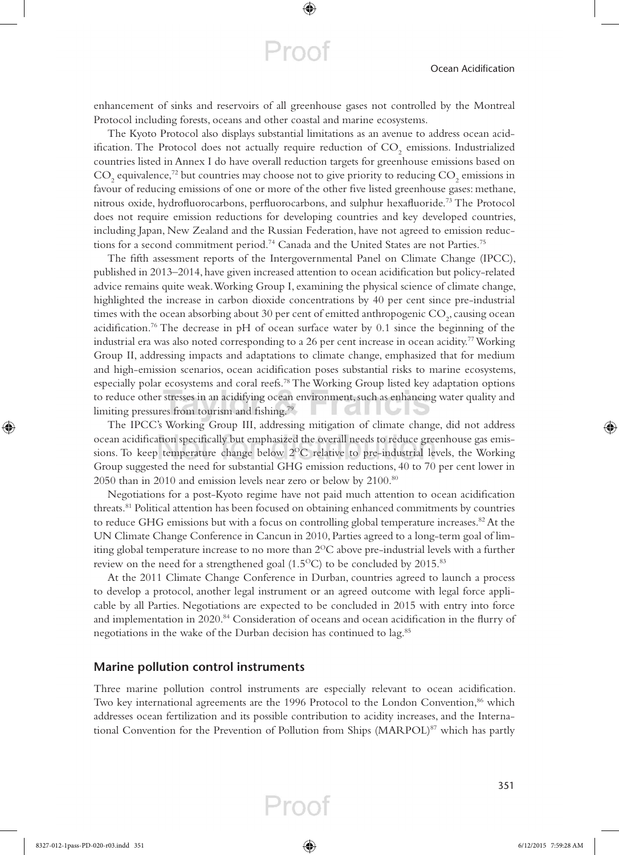enhancement of sinks and reservoirs of all greenhouse gases not controlled by the Montreal Protocol including forests, oceans and other coastal and marine ecosystems.

Proof

⊕

The Kyoto Protocol also displays substantial limitations as an avenue to address ocean acidification. The Protocol does not actually require reduction of  $\mathrm{CO}_2$  emissions. Industrialized countries listed in Annex I do have overall reduction targets for greenhouse emissions based on  $\rm CO_2$  equivalence,<sup>72</sup> but countries may choose not to give priority to reducing  $\rm CO_2$  emissions in favour of reducing emissions of one or more of the other five listed greenhouse gases: methane, nitrous oxide, hydrofluorocarbons, perfluorocarbons, and sulphur hexafluoride.73 The Protocol does not require emission reductions for developing countries and key developed countries, including Japan, New Zealand and the Russian Federation, have not agreed to emission reductions for a second commitment period.<sup>74</sup> Canada and the United States are not Parties.<sup>75</sup>

The fifth assessment reports of the Intergovernmental Panel on Climate Change (IPCC), published in 2013–2014, have given increased attention to ocean acidification but policy-related advice remains quite weak. Working Group I, examining the physical science of climate change, highlighted the increase in carbon dioxide concentrations by 40 per cent since pre-industrial times with the ocean absorbing about 30 per cent of emitted anthropogenic  $\mathrm{CO}_2$ , causing ocean acidification.76 The decrease in pH of ocean surface water by 0.1 since the beginning of the industrial era was also noted corresponding to a 26 per cent increase in ocean acidity.<sup>77</sup> Working Group II, addressing impacts and adaptations to climate change, emphasized that for medium and high-emission scenarios, ocean acidification poses substantial risks to marine ecosystems, especially polar ecosystems and coral reefs.<sup>78</sup> The Working Group listed key adaptation options to reduce other stresses in an acidifying ocean environment, such as enhancing water quality and limiting pressures from tourism and fishing.79 **CLI** 

The IPCC's Working Group III, addressing mitigation of climate change, did not address ocean acidification specifically but emphasized the overall needs to reduce greenhouse gas emissions. To keep temperature change below  $2^{\circ}$ C relative to pre-industrial levels, the Working Group suggested the need for substantial GHG emission reductions, 40 to 70 per cent lower in 2050 than in 2010 and emission levels near zero or below by 2100.80

Negotiations for a post-Kyoto regime have not paid much attention to ocean acidification threats.81 Political attention has been focused on obtaining enhanced commitments by countries to reduce GHG emissions but with a focus on controlling global temperature increases.<sup>82</sup> At the UN Climate Change Conference in Cancun in 2010, Parties agreed to a long-term goal of limiting global temperature increase to no more than 2OC above pre-industrial levels with a further review on the need for a strengthened goal  $(1.5\text{°C})$  to be concluded by 2015.<sup>83</sup>

At the 2011 Climate Change Conference in Durban, countries agreed to launch a process to develop a protocol, another legal instrument or an agreed outcome with legal force applicable by all Parties. Negotiations are expected to be concluded in 2015 with entry into force and implementation in 2020.84 Consideration of oceans and ocean acidification in the flurry of negotiations in the wake of the Durban decision has continued to lag.85

#### **Marine pollution control instruments**

Three marine pollution control instruments are especially relevant to ocean acidification. Two key international agreements are the 1996 Protocol to the London Convention,<sup>86</sup> which addresses ocean fertilization and its possible contribution to acidity increases, and the International Convention for the Prevention of Pollution from Ships  $(MARPOL)^{87}$  which has partly

Proot

↔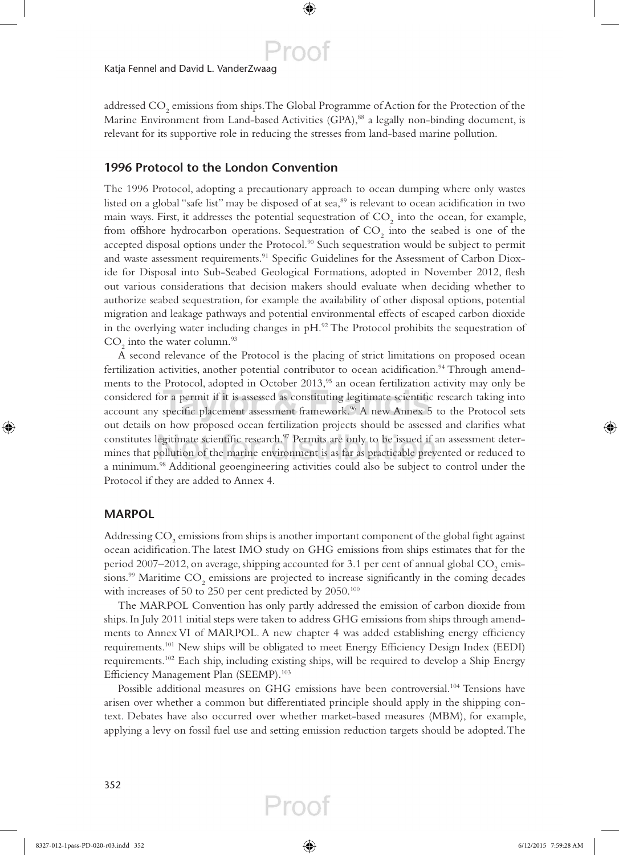addressed  $\mathrm{CO}_2$  emissions from ships. The Global Programme of Action for the Protection of the Marine Environment from Land-based Activities (GPA),<sup>88</sup> a legally non-binding document, is relevant for its supportive role in reducing the stresses from land-based marine pollution.

⊕

## **1996 Protocol to the London Convention**

The 1996 Protocol, adopting a precautionary approach to ocean dumping where only wastes listed on a global "safe list" may be disposed of at sea,<sup>89</sup> is relevant to ocean acidification in two main ways. First, it addresses the potential sequestration of  $\mathrm{CO}_2$  into the ocean, for example, from offshore hydrocarbon operations. Sequestration of  $\mathrm{CO}_2$  into the seabed is one of the accepted disposal options under the Protocol.<sup>90</sup> Such sequestration would be subject to permit and waste assessment requirements.<sup>91</sup> Specific Guidelines for the Assessment of Carbon Dioxide for Disposal into Sub-Seabed Geological Formations, adopted in November 2012, flesh out various considerations that decision makers should evaluate when deciding whether to authorize seabed sequestration, for example the availability of other disposal options, potential migration and leakage pathways and potential environmental effects of escaped carbon dioxide in the overlying water including changes in  $pH^{9}$ . The Protocol prohibits the sequestration of  $CO<sub>2</sub>$  into the water column.<sup>93</sup>

A second relevance of the Protocol is the placing of strict limitations on proposed ocean fertilization activities, another potential contributor to ocean acidification.<sup>94</sup> Through amendments to the Protocol, adopted in October 2013,<sup>95</sup> an ocean fertilization activity may only be considered for a permit if it is assessed as constituting legitimate scientific research taking into account any specific placement assessment framework.96 A new Annex 5 to the Protocol sets out details on how proposed ocean fertilization projects should be assessed and clarifies what constitutes legitimate scientific research.<sup>97</sup> Permits are only to be issued if an assessment determines that pollution of the marine environment is as far as practicable prevented or reduced to a minimum.98 Additional geoengineering activities could also be subject to control under the Protocol if they are added to Annex 4.

## **MARPOL**

⊕

Addressing  $\mathrm{CO}_2$  emissions from ships is another important component of the global fight against ocean acidification. The latest IMO study on GHG emissions from ships estimates that for the period 2007–2012, on average, shipping accounted for 3.1 per cent of annual global  $\mathrm{CO}_2^{}$  emissions.<sup>99</sup> Maritime  $\mathrm{CO}_2$  emissions are projected to increase significantly in the coming decades with increases of 50 to 250 per cent predicted by 2050.<sup>100</sup>

The MARPOL Convention has only partly addressed the emission of carbon dioxide from ships. In July 2011 initial steps were taken to address GHG emissions from ships through amendments to Annex VI of MARPOL. A new chapter 4 was added establishing energy efficiency requirements.101 New ships will be obligated to meet Energy Efficiency Design Index (EEDI) requirements.102 Each ship, including existing ships, will be required to develop a Ship Energy Efficiency Management Plan (SEEMP).<sup>103</sup>

Possible additional measures on GHG emissions have been controversial.<sup>104</sup> Tensions have arisen over whether a common but differentiated principle should apply in the shipping context. Debates have also occurred over whether market-based measures (MBM), for example, applying a levy on fossil fuel use and setting emission reduction targets should be adopted. The

Proot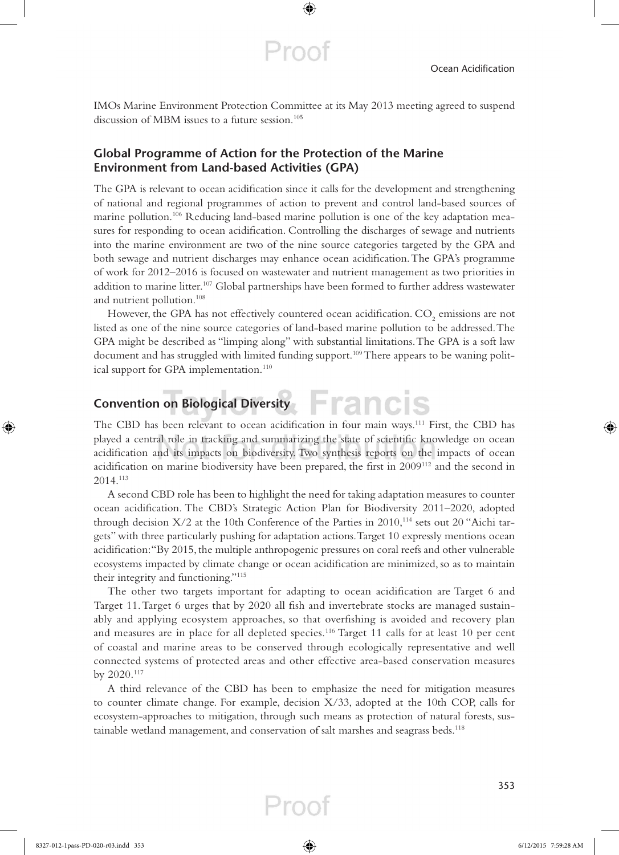IMOs Marine Environment Protection Committee at its May 2013 meeting agreed to suspend discussion of MBM issues to a future session.<sup>105</sup>

⊕

## **Global Programme of Action for the Protection of the Marine Environment from Land-based Activities (GPA)**

The GPA is relevant to ocean acidification since it calls for the development and strengthening of national and regional programmes of action to prevent and control land-based sources of marine pollution.106 Reducing land-based marine pollution is one of the key adaptation measures for responding to ocean acidification. Controlling the discharges of sewage and nutrients into the marine environment are two of the nine source categories targeted by the GPA and both sewage and nutrient discharges may enhance ocean acidification. The GPA's programme of work for 2012–2016 is focused on wastewater and nutrient management as two priorities in addition to marine litter.107 Global partnerships have been formed to further address wastewater and nutrient pollution.108

However, the GPA has not effectively countered ocean acidification.  $\mathrm{CO}_2$  emissions are not listed as one of the nine source categories of land-based marine pollution to be addressed. The GPA might be described as "limping along" with substantial limitations. The GPA is a soft law document and has struggled with limited funding support.<sup>109</sup> There appears to be waning political support for GPA implementation.<sup>110</sup>

## **Francis Convention on Biological Diversity**

The CBD has been relevant to ocean acidification in four main ways.111 First, the CBD has played a central role in tracking and summarizing the state of scientific knowledge on ocean acidification and its impacts on biodiversity. Two synthesis reports on the impacts of ocean acidification on marine biodiversity have been prepared, the first in 2009112 and the second in 2014.113

A second CBD role has been to highlight the need for taking adaptation measures to counter ocean acidification. The CBD's Strategic Action Plan for Biodiversity 2011–2020, adopted through decision X/2 at the 10th Conference of the Parties in 2010,<sup>114</sup> sets out 20 "Aichi targets" with three particularly pushing for adaptation actions. Target 10 expressly mentions ocean acidification: "By 2015, the multiple anthropogenic pressures on coral reefs and other vulnerable ecosystems impacted by climate change or ocean acidification are minimized, so as to maintain their integrity and functioning."115

The other two targets important for adapting to ocean acidification are Target 6 and Target 11. Target 6 urges that by 2020 all fish and invertebrate stocks are managed sustainably and applying ecosystem approaches, so that overfishing is avoided and recovery plan and measures are in place for all depleted species.116 Target 11 calls for at least 10 per cent of coastal and marine areas to be conserved through ecologically representative and well connected systems of protected areas and other effective area-based conservation measures by 2020.117

A third relevance of the CBD has been to emphasize the need for mitigation measures to counter climate change. For example, decision X/33, adopted at the 10th COP, calls for ecosystem-approaches to mitigation, through such means as protection of natural forests, sustainable wetland management, and conservation of salt marshes and seagrass beds.118

Proot

↔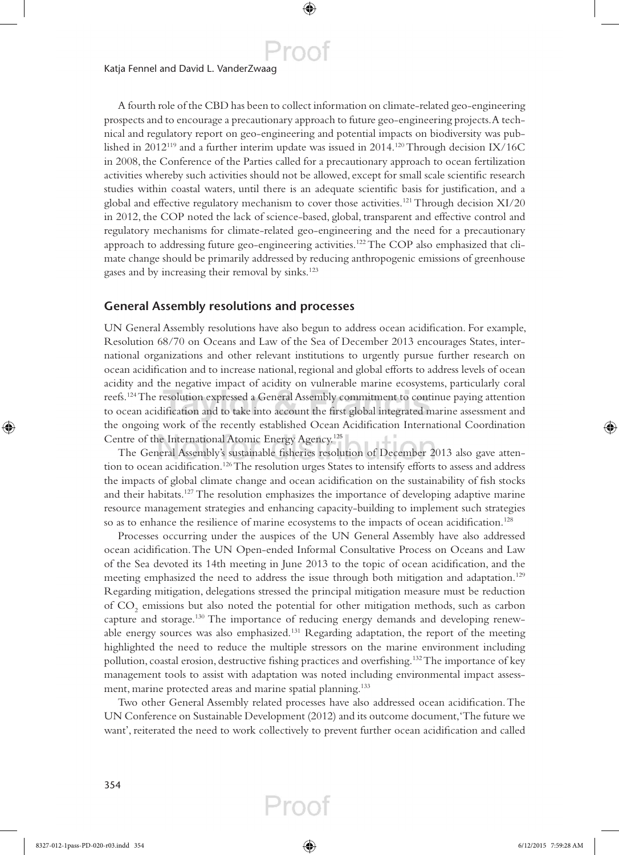A fourth role of the CBD has been to collect information on climate-related geo-engineering prospects and to encourage a precautionary approach to future geo-engineering projects. A technical and regulatory report on geo-engineering and potential impacts on biodiversity was published in 2012119 and a further interim update was issued in 2014.120 Through decision IX/16C in 2008, the Conference of the Parties called for a precautionary approach to ocean fertilization activities whereby such activities should not be allowed, except for small scale scientific research studies within coastal waters, until there is an adequate scientific basis for justification, and a global and effective regulatory mechanism to cover those activities.<sup>121</sup> Through decision XI/20 in 2012, the COP noted the lack of science-based, global, transparent and effective control and regulatory mechanisms for climate-related geo-engineering and the need for a precautionary approach to addressing future geo-engineering activities.122 The COP also emphasized that climate change should be primarily addressed by reducing anthropogenic emissions of greenhouse gases and by increasing their removal by sinks.<sup>123</sup>

⊕

## **General Assembly resolutions and processes**

UN General Assembly resolutions have also begun to address ocean acidification. For example, Resolution 68/70 on Oceans and Law of the Sea of December 2013 encourages States, international organizations and other relevant institutions to urgently pursue further research on ocean acidification and to increase national, regional and global efforts to address levels of ocean acidity and the negative impact of acidity on vulnerable marine ecosystems, particularly coral reefs.124 The resolution expressed a General Assembly commitment to continue paying attention to ocean acidification and to take into account the first global integrated marine assessment and the ongoing work of the recently established Ocean Acidification International Coordination Centre of the International Atomic Energy Agency.125

The General Assembly's sustainable fisheries resolution of December 2013 also gave attention to ocean acidification.126 The resolution urges States to intensify efforts to assess and address the impacts of global climate change and ocean acidification on the sustainability of fish stocks and their habitats.127 The resolution emphasizes the importance of developing adaptive marine resource management strategies and enhancing capacity-building to implement such strategies so as to enhance the resilience of marine ecosystems to the impacts of ocean acidification.<sup>128</sup>

Processes occurring under the auspices of the UN General Assembly have also addressed ocean acidification. The UN Open-ended Informal Consultative Process on Oceans and Law of the Sea devoted its 14th meeting in June 2013 to the topic of ocean acidification, and the meeting emphasized the need to address the issue through both mitigation and adaptation.<sup>129</sup> Regarding mitigation, delegations stressed the principal mitigation measure must be reduction of CO<sub>2</sub> emissions but also noted the potential for other mitigation methods, such as carbon capture and storage.130 The importance of reducing energy demands and developing renewable energy sources was also emphasized.131 Regarding adaptation, the report of the meeting highlighted the need to reduce the multiple stressors on the marine environment including pollution, coastal erosion, destructive fishing practices and overfishing.132 The importance of key management tools to assist with adaptation was noted including environmental impact assessment, marine protected areas and marine spatial planning.<sup>133</sup>

Two other General Assembly related processes have also addressed ocean acidification. The UN Conference on Sustainable Development (2012) and its outcome document, 'The future we want', reiterated the need to work collectively to prevent further ocean acidification and called

-root

↔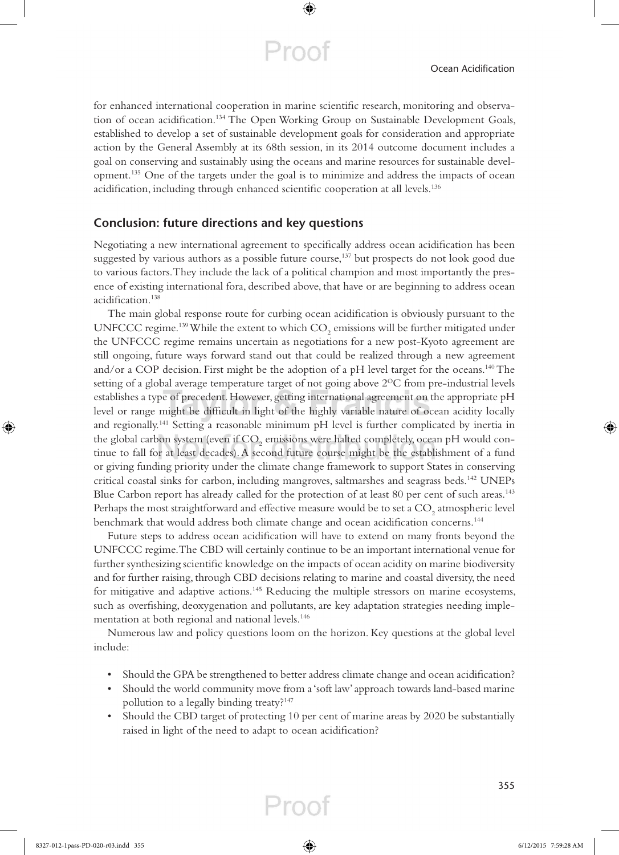#### Ocean Acidification

for enhanced international cooperation in marine scientific research, monitoring and observation of ocean acidification.134 The Open Working Group on Sustainable Development Goals, established to develop a set of sustainable development goals for consideration and appropriate action by the General Assembly at its 68th session, in its 2014 outcome document includes a goal on conserving and sustainably using the oceans and marine resources for sustainable development.135 One of the targets under the goal is to minimize and address the impacts of ocean acidification, including through enhanced scientific cooperation at all levels.<sup>136</sup>

 $\bigoplus$ 

### **Conclusion: future directions and key questions**

Negotiating a new international agreement to specifically address ocean acidification has been suggested by various authors as a possible future course,137 but prospects do not look good due to various factors. They include the lack of a political champion and most importantly the presence of existing international fora, described above, that have or are beginning to address ocean acidification.138

The main global response route for curbing ocean acidification is obviously pursuant to the UNFCCC regime.<sup>139</sup> While the extent to which  $\mathrm{CO}_2$  emissions will be further mitigated under the UNFCCC regime remains uncertain as negotiations for a new post-Kyoto agreement are still ongoing, future ways forward stand out that could be realized through a new agreement and/or a COP decision. First might be the adoption of a pH level target for the oceans.140 The setting of a global average temperature target of not going above  $2^{O}C$  from pre-industrial levels establishes a type of precedent. However, getting international agreement on the appropriate pH level or range might be difficult in light of the highly variable nature of ocean acidity locally and regionally.141 Setting a reasonable minimum pH level is further complicated by inertia in the global carbon system (even if  $\mathrm{CO}_2$  emissions were halted completely, ocean pH would continue to fall for at least decades). A second future course might be the establishment of a fund or giving funding priority under the climate change framework to support States in conserving critical coastal sinks for carbon, including mangroves, saltmarshes and seagrass beds.<sup>142</sup> UNEPs Blue Carbon report has already called for the protection of at least 80 per cent of such areas.<sup>143</sup> Perhaps the most straightforward and effective measure would be to set a  $\mathrm{CO}_2$  atmospheric level benchmark that would address both climate change and ocean acidification concerns.144

Future steps to address ocean acidification will have to extend on many fronts beyond the UNFCCC regime. The CBD will certainly continue to be an important international venue for further synthesizing scientific knowledge on the impacts of ocean acidity on marine biodiversity and for further raising, through CBD decisions relating to marine and coastal diversity, the need for mitigative and adaptive actions.145 Reducing the multiple stressors on marine ecosystems, such as overfishing, deoxygenation and pollutants, are key adaptation strategies needing implementation at both regional and national levels.<sup>146</sup>

Numerous law and policy questions loom on the horizon. Key questions at the global level include:

- Should the GPA be strengthened to better address climate change and ocean acidification?
- Should the world community move from a 'soft law' approach towards land-based marine pollution to a legally binding treaty?147
- Should the CBD target of protecting 10 per cent of marine areas by 2020 be substantially raised in light of the need to adapt to ocean acidification?

Proot

⊕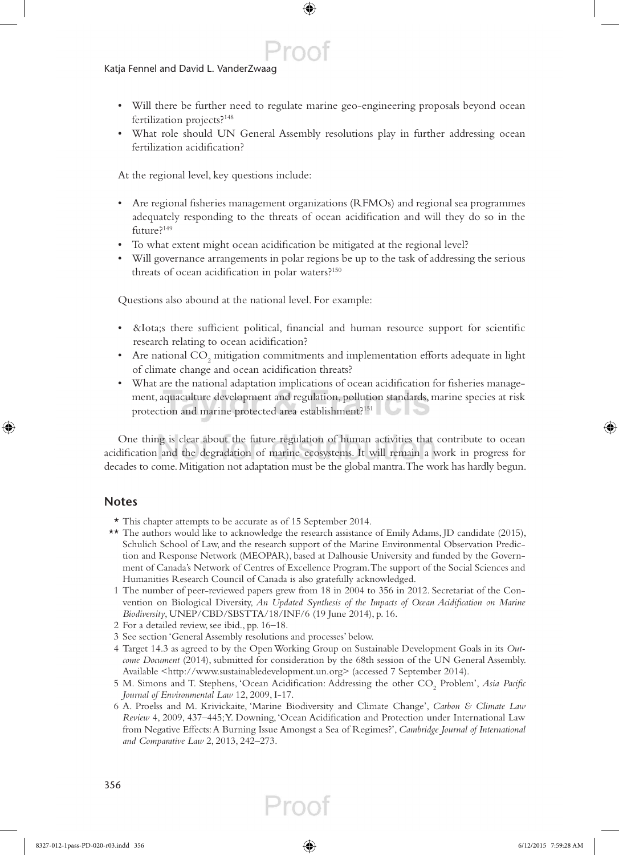• Will there be further need to regulate marine geo-engineering proposals beyond ocean fertilization projects?148

 $\bigoplus$ 

• What role should UN General Assembly resolutions play in further addressing ocean fertilization acidification?

At the regional level, key questions include:

- Are regional fisheries management organizations (RFMOs) and regional sea programmes adequately responding to the threats of ocean acidification and will they do so in the future?<sup>149</sup>
- To what extent might ocean acidification be mitigated at the regional level?
- Will governance arrangements in polar regions be up to the task of addressing the serious threats of ocean acidification in polar waters?<sup>150</sup>

Questions also abound at the national level. For example:

- Ιs there sufficient political, financial and human resource support for scientific research relating to ocean acidification?
- Are national  $\mathrm{CO}_2$  mitigation commitments and implementation efforts adequate in light of climate change and ocean acidification threats?
- What are the national adaptation implications of ocean acidification for fisheries management, aquaculture development and regulation, pollution standards, marine species at risk protection and marine protected area establishment?151  $\mathcal{F} \parallel \infty$

One thing is clear about the future regulation of human activities that contribute to ocean acidification and the degradation of marine ecosystems. It will remain a work in progress for decades to come. Mitigation not adaptation must be the global mantra. The work has hardly begun.

#### **Notes**

↔

- \* This chapter attempts to be accurate as of 15 September 2014.
- \*\* The authors would like to acknowledge the research assistance of Emily Adams, JD candidate (2015), Schulich School of Law, and the research support of the Marine Environmental Observation Prediction and Response Network (MEOPAR), based at Dalhousie University and funded by the Government of Canada's Network of Centres of Excellence Program. The support of the Social Sciences and Humanities Research Council of Canada is also gratefully acknowledged.
- 1 The number of peer-reviewed papers grew from 18 in 2004 to 356 in 2012. Secretariat of the Convention on Biological Diversity, *An Updated Synthesis of the Impacts of Ocean Acidification on Marine Biodiversity*, UNEP/CBD/SBSTTA/18/INF/6 (19 June 2014), p. 16.
- 2 For a detailed review, see ibid., pp. 16–18.
- 3 See section 'General Assembly resolutions and processes' below.
- 4 Target 14.3 as agreed to by the Open Working Group on Sustainable Development Goals in its *Outcome Document* (2014), submitted for consideration by the 68th session of the UN General Assembly. Available <http://www.sustainabledevelopment.un.org> (accessed 7 September 2014).
- 5 M. Simons and T. Stephens, 'Ocean Acidification: Addressing the other CO<sub>2</sub> Problem', Asia Pacific *Journal of Environmental Law* 12, 2009, I-17.
- 6 A. Proelss and M. Krivickaite, 'Marine Biodiversity and Climate Change', *Carbon & Climate Law Review* 4, 2009, 437–445; Y. Downing, 'Ocean Acidification and Protection under International Law from Negative Effects: A Burning Issue Amongst a Sea of Regimes?', *Cambridge Journal of International and Comparative Law* 2, 2013, 242–273.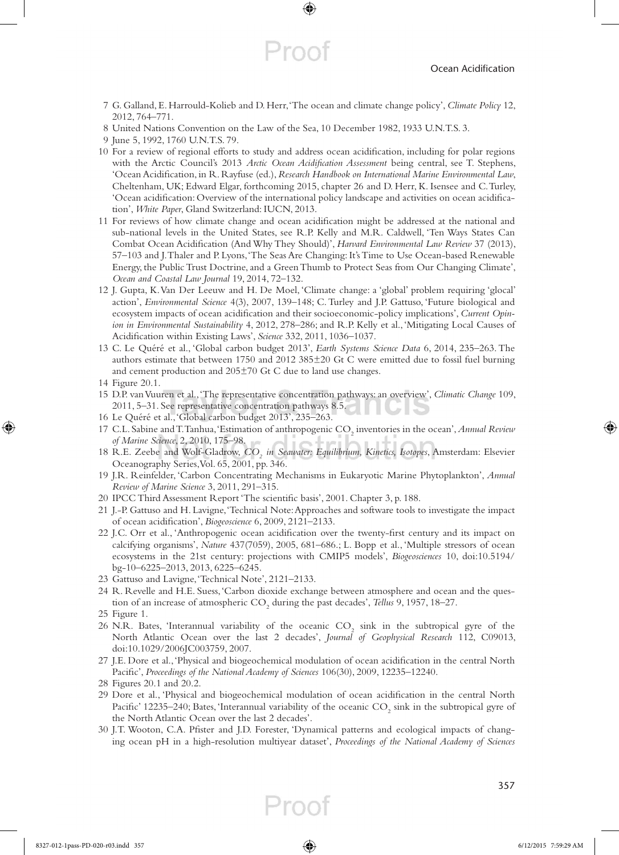#### Ocean Acidification

- 7 G. Galland, E. Harrould-Kolieb and D. Herr, 'The ocean and climate change policy', *Climate Policy* 12, 2012, 764–771.
- 8 United Nations Convention on the Law of the Sea, 10 December 1982, 1933 U.N.T.S. 3.

- 10 For a review of regional efforts to study and address ocean acidification, including for polar regions with the Arctic Council's 2013 *Arctic Ocean Acidification Assessment* being central, see T. Stephens, 'Ocean Acidification, in R. Rayfuse (ed.), *Research Handbook on International Marine Environmental Law*, Cheltenham, UK; Edward Elgar, forthcoming 2015, chapter 26 and D. Herr, K. Isensee and C. Turley, 'Ocean acidification: Overview of the international policy landscape and activities on ocean acidification', *White Paper*, Gland Switzerland: IUCN, 2013.
- 11 For reviews of how climate change and ocean acidification might be addressed at the national and sub-national levels in the United States, see R.P. Kelly and M.R. Caldwell, 'Ten Ways States Can Combat Ocean Acidification (And Why They Should)', *Harvard Environmental Law Review* 37 (2013), 57–103 and J. Thaler and P. Lyons, 'The Seas Are Changing: It's Time to Use Ocean-based Renewable Energy, the Public Trust Doctrine, and a Green Thumb to Protect Seas from Our Changing Climate', *Ocean and Coastal Law Journal* 19, 2014, 72–132.
- 12 J. Gupta, K. Van Der Leeuw and H. De Moel, 'Climate change: a 'global' problem requiring 'glocal' action', *Environmental Science* 4(3), 2007, 139–148; C. Turley and J.P. Gattuso, 'Future biological and ecosystem impacts of ocean acidification and their socioeconomic-policy implications', *Current Opinion in Environmental Sustainability* 4, 2012, 278–286; and R.P. Kelly et al., 'Mitigating Local Causes of Acidification within Existing Laws', *Science* 332, 2011, 1036–1037.
- 13 C. Le Quéré et al., 'Global carbon budget 2013', *Earth Systems Science Data* 6, 2014, 235–263. The authors estimate that between 1750 and 2012 385±20 Gt C were emitted due to fossil fuel burning and cement production and 205±70 Gt C due to land use changes.
- 14 Figure 20.1.

↔

- 15 D.P. van Vuuren et al., 'The representative concentration pathways: an overview', *Climatic Change* 109, 2011, 5–31. See representative concentration pathways 8.5.
- 16 Le Quéré et al., 'Global carbon budget 2013', 235–263.
- 17 C.L. Sabine and T. Tanhua, 'Estimation of anthropogenic CO<sub>2</sub> inventories in the ocean', *Annual Review of Marine Science*, 2, 2010, 175–98.
- 18 R.E. Zeebe and Wolf-Gladrow, *CO<sub>2</sub> in Seawater: Equilibrium, Kinetics, Isotopes*, Amsterdam: Elsevier Oceanography Series, Vol. 65, 2001, pp. 346.
- 19 J.R. Reinfelder, 'Carbon Concentrating Mechanisms in Eukaryotic Marine Phytoplankton', *Annual Review of Marine Science* 3, 2011, 291–315.
- 20 IPCC Third Assessment Report 'The scientific basis', 2001. Chapter 3, p. 188.
- 21 J.-P. Gattuso and H. Lavigne, 'Technical Note: Approaches and software tools to investigate the impact of ocean acidification', *Biogeoscience* 6, 2009, 2121–2133.
- 22 J.C. Orr et al., 'Anthropogenic ocean acidification over the twenty-first century and its impact on calcifying organisms', *Nature* 437(7059), 2005, 681–686.; L. Bopp et al., 'Multiple stressors of ocean ecosystems in the 21st century: projections with CMIP5 models', *Biogeosciences* 10, doi:10.5194/ bg-10–6225–2013, 2013, 6225–6245.
- 23 Gattuso and Lavigne, 'Technical Note', 2121–2133.
- 24 R. Revelle and H.E. Suess, 'Carbon dioxide exchange between atmosphere and ocean and the question of an increase of atmospheric CO<sub>2</sub> during the past decades', *Tellus* 9, 1957, 18–27.
- 25 Figure 1.
- 26 N.R. Bates, 'Interannual variability of the oceanic  $\mathrm{CO}_2$  sink in the subtropical gyre of the North Atlantic Ocean over the last 2 decades', *Journal of Geophysical Research* 112, C09013, doi:10.1029/2006JC003759, 2007.
- 27 J.E. Dore et al., 'Physical and biogeochemical modulation of ocean acidification in the central North Pacific', *Proceedings of the National Academy of Sciences* 106(30), 2009, 12235–12240.
- 28 Figures 20.1 and 20.2.
- 29 Dore et al., 'Physical and biogeochemical modulation of ocean acidification in the central North Pacific' 12235–240; Bates, 'Interannual variability of the oceanic  $\rm CO_{2}$  sink in the subtropical gyre of the North Atlantic Ocean over the last 2 decades'.
- 30 J.T. Wooton, C.A. Pfister and J.D. Forester, 'Dynamical patterns and ecological impacts of changing ocean pH in a high-resolution multiyear dataset', *Proceedings of the National Academy of Sciences*

-,LOO.

<sup>9</sup> June 5, 1992, 1760 U.N.T.S. 79.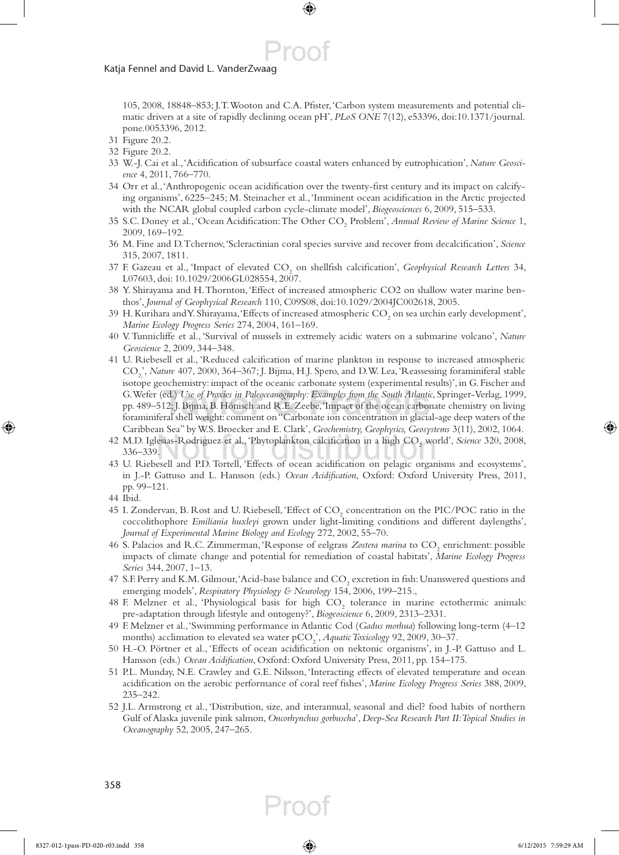105, 2008, 18848–853; J.T. Wooton and C.A. Pfister, 'Carbon system measurements and potential climatic drivers at a site of rapidly declining ocean pH', *PLoS ONE* 7(12), e53396, doi:10.1371/journal. pone.0053396, 2012.

- 31 Figure 20.2.
- 32 Figure 20.2.
- 33 W.-J. Cai et al., 'Acidification of subsurface coastal waters enhanced by eutrophication', *Nature Geoscience* 4, 2011, 766–770.
- 34 Orr et al., 'Anthropogenic ocean acidification over the twenty-first century and its impact on calcifying organisms', 6225–245; M. Steinacher et al., 'Imminent ocean acidification in the Arctic projected with the NCAR global coupled carbon cycle-climate model', *Biogeosciences* 6, 2009, 515–533.
- 35 S.C. Doney et al., 'Ocean Acidification: The Other CO<sub>2</sub> Problem', *Annual Review of Marine Science* 1, 2009, 169–192.
- 36 M. Fine and D. Tchernov, 'Scleractinian coral species survive and recover from decalcification', *Science* 315, 2007, 1811.
- 37 F. Gazeau et al., 'Impact of elevated CO<sub>2</sub> on shellfish calcification', *Geophysical Research Letters* 34, L07603, doi: 10.1029/2006GL028554, 2007.
- 38 Y. Shirayama and H. Thornton, 'Effect of increased atmospheric CO2 on shallow water marine benthos', *Journal of Geophysical Research* 110, C09S08, doi:10.1029/2004JC002618, 2005.
- 39 H. Kurihara and Y. Shirayama, 'Effects of increased atmospheric  $\mathrm{CO}_2$  on sea urchin early development', *Marine Ecology Progress Series* 274, 2004, 161–169.
- 40 V. Tunnicliffe et al., 'Survival of mussels in extremely acidic waters on a submarine volcano', *Nature Geoscience* 2, 2009, 344–348.
- 41 U. Riebesell et al., 'Reduced calcification of marine plankton in response to increased atmospheric CO2,', *Nature* 407, 2000, 364–367; J. Bijma, H.J. Spero, and D.W. Lea, 'Reassessing foraminiferal stable isotope geochemistry: impact of the oceanic carbonate system (experimental results)', in G. Fischer and G. Wefer (ed.) *Use of Proxies in Paleoceanography: Examples from the South Atlantic*, Springer-Verlag, 1999, pp. 489–512; J. Bijma, B. Hönisch and R.E. Zeebe, 'Impact of the ocean carbonate chemistry on living foraminiferal shell weight: comment on "Carbonate ion concentration in glacial-age deep waters of the Caribbean Sea" by W.S. Broecker and E. Clark', *Geochemistry, Geophysics, Geosystems* 3(11), 2002, 1064.
- 42 M.D. Iglesias-Rodriguez et al., 'Phytoplankton calcification in a high CO<sub>2</sub> world', *Science* 320, 2008, 336–339.
- 43 U. Riebesell and P.D. Tortell, 'Effects of ocean acidification on pelagic organisms and ecosystems', in J.-P. Gattuso and L. Hansson (eds.) *Ocean Acidification*, Oxford: Oxford University Press, 2011, pp. 99–121.
- 44 Ibid.

↔

- 45 I. Zondervan, B. Rost and U. Riebesell, 'Effect of  $\mathrm{CO}_2$  concentration on the PIC/POC ratio in the coccolithophore *Emiliania huxleyi* grown under light-limiting conditions and different daylengths', *Journal of Experimental Marine Biology and Ecology* 272, 2002, 55–70.
- 46 S. Palacios and R.C. Zimmerman, 'Response of eelgrass *Zostera marina* to CO<sub>2</sub> enrichment: possible impacts of climate change and potential for remediation of coastal habitats', *Marine Ecology Progress Series* 344, 2007, 1–13.
- 47 S.F. Perry and K.M. Gilmour, 'Acid-base balance and  $\mathrm{CO}_2$  excretion in fish: Unanswered questions and emerging models', *Respiratory Physiology & Neurology* 154, 2006, 199–215.,
- 48 F. Melzner et al., 'Physiological basis for high  $CO_2$  tolerance in marine ectothermic animals: pre-adaptation through lifestyle and ontogeny?', *Biogeoscience* 6, 2009, 2313–2331.
- 49 F. Melzner et al., 'Swimming performance in Atlantic Cod (*Gadus morhua*) following long-term (4–12 months) acclimation to elevated sea water pCO<sub>2</sub>', *Aquatic Toxicology* 92, 2009, 30–37.
- 50 H.-O. Pörtner et al., 'Effects of ocean acidification on nektonic organisms', in J.-P. Gattuso and L. Hansson (eds.) *Ocean Acidification*, Oxford: Oxford University Press, 2011, pp. 154–175.
- 51 P.L. Munday, N.E. Crawley and G.E. Nilsson, 'Interacting effects of elevated temperature and ocean acidification on the aerobic performance of coral reef fishes', *Marine Ecology Progress Series* 388, 2009, 235–242.
- 52 J.L. Armstrong et al., 'Distribution, size, and interannual, seasonal and diel? food habits of northern Gulf of Alaska juvenile pink salmon, *Oncorhynchus gorbuscha*', *Deep-Sea Research Part II: Topical Studies in Oceanography* 52, 2005, 247–265.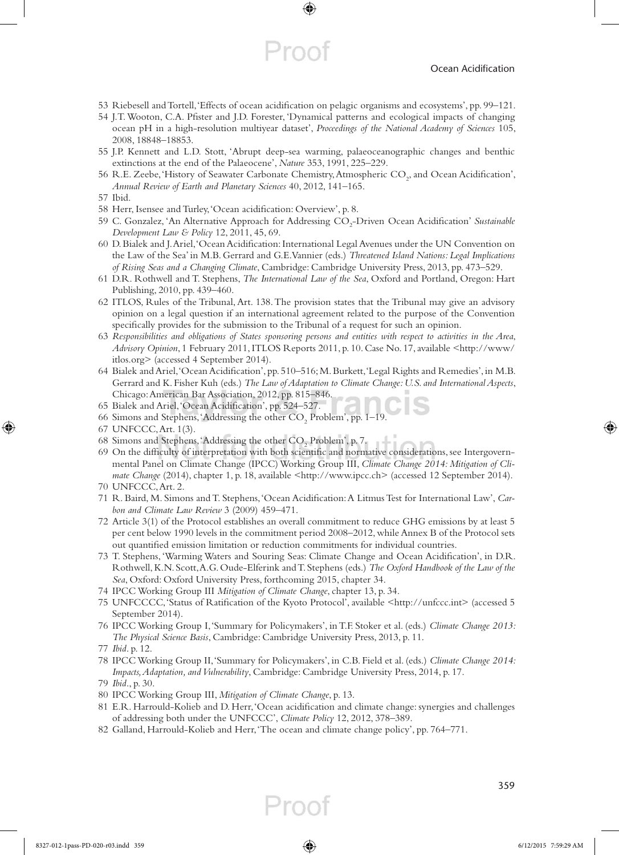#### Ocean Acidification

- 53 Riebesell and Tortell, 'Effects of ocean acidification on pelagic organisms and ecosystems', pp. 99–121.
- 54 J.T. Wooton, C.A. Pfister and J.D. Forester, 'Dynamical patterns and ecological impacts of changing ocean pH in a high-resolution multiyear dataset', *Proceedings of the National Academy of Sciences* 105, 2008, 18848–18853.
- 55 J.P. Kennett and L.D. Stott, 'Abrupt deep-sea warming, palaeoceanographic changes and benthic extinctions at the end of the Palaeocene', *Nature* 353, 1991, 225–229.
- 56 R.E. Zeebe, 'History of Seawater Carbonate Chemistry, Atmospheric  $\mathrm{CO}_2$ , and Ocean Acidification', *Annual Review of Earth and Planetary Sciences* 40, 2012, 141–165.
- 57 Ibid.
- 58 Herr, Isensee and Turley, 'Ocean acidification: Overview', p. 8.
- 59 C. Gonzalez, 'An Alternative Approach for Addressing CO<sub>2</sub>-Driven Ocean Acidification' Sustainable *Development Law & Policy* 12, 2011, 45, 69.
- 60 D. Bialek and J. Ariel, 'Ocean Acidification: International Legal Avenues under the UN Convention on the Law of the Sea' in M.B. Gerrard and G.E. Vannier (eds.) *Threatened Island Nations: Legal Implications of Rising Seas and a Changing Climate*, Cambridge: Cambridge University Press, 2013, pp. 473–529.
- 61 D.R. Rothwell and T. Stephens, *The International Law of the Sea*, Oxford and Portland, Oregon: Hart Publishing, 2010, pp. 439–460.
- 62 ITLOS, Rules of the Tribunal, Art. 138. The provision states that the Tribunal may give an advisory opinion on a legal question if an international agreement related to the purpose of the Convention specifically provides for the submission to the Tribunal of a request for such an opinion.
- 63 *Responsibilities and obligations of States sponsoring persons and entities with respect to activities in the Area*, *Advisory Opinion*, 1 February 2011, ITLOS Reports 2011, p. 10. Case No. 17, available <http://www/ itlos.org> (accessed 4 September 2014).
- 64 Bialek and Ariel, 'Ocean Acidification', pp. 510–516; M. Burkett, 'Legal Rights and Remedies', in M.B. Gerrard and K. Fisher Kuh (eds.) *The Law of Adaptation to Climate Change: U.S. and International Aspects*, Chicago: American Bar Association, 2012, pp. 815–846.
- 65 Bialek and Ariel, 'Ocean Acidification', pp. 524–527.
- 66 Simons and Stephens, 'Addressing the other  $\mathrm{CO}_2$  Problem', pp. 1–19.
- 67 UNFCCC, Art. 1(3).

↔

- 68 Simons and Stephens, 'Addressing the other  $\mathrm{CO}_2$  Problem', p. 7.
- 69 On the difficulty of interpretation with both scientific and normative considerations, see Intergovernmental Panel on Climate Change (IPCC) Working Group III, *Climate Change 2014: Mitigation of Climate Change* (2014), chapter 1, p. 18, available <http://www.ipcc.ch> (accessed 12 September 2014).
- 70 UNFCCC, Art. 2.
- 71 R. Baird, M. Simons and T. Stephens, 'Ocean Acidification: A Litmus Test for International Law', *Carbon and Climate Law Review* 3 (2009) 459–471.
- 72 Article 3(1) of the Protocol establishes an overall commitment to reduce GHG emissions by at least 5 per cent below 1990 levels in the commitment period 2008–2012, while Annex B of the Protocol sets out quantified emission limitation or reduction commitments for individual countries.
- 73 T. Stephens, 'Warming Waters and Souring Seas: Climate Change and Ocean Acidification', in D.R. Rothwell, K.N. Scott, A.G. Oude-Elferink and T. Stephens (eds.) *The Oxford Handbook of the Law of the Sea*, Oxford: Oxford University Press, forthcoming 2015, chapter 34.
- 74 IPCC Working Group III *Mitigation of Climate Change*, chapter 13, p. 34.
- 75 UNFCCCC, 'Status of Ratification of the Kyoto Protocol', available <http://unfccc.int> (accessed 5 September 2014).
- 76 IPCC Working Group I, 'Summary for Policymakers', in T.F. Stoker et al. (eds.) *Climate Change 2013: The Physical Science Basis*, Cambridge: Cambridge University Press, 2013, p. 11.
- 77 *Ibid*. p. 12.
- 78 IPCC Working Group II, 'Summary for Policymakers', in C.B. Field et al. (eds.) *Climate Change 2014: Impacts, Adaptation, and Vulnerability*, Cambridge: Cambridge University Press, 2014, p. 17.
- 79 *Ibid*., p. 30.
- 80 IPCC Working Group III, *Mitigation of Climate Change*, p. 13.
- 81 E.R. Harrould-Kolieb and D. Herr, 'Ocean acidification and climate change: synergies and challenges of addressing both under the UNFCCC', *Climate Policy* 12, 2012, 378–389.

-l.oo.

82 Galland, Harrould-Kolieb and Herr, 'The ocean and climate change policy', pp. 764–771.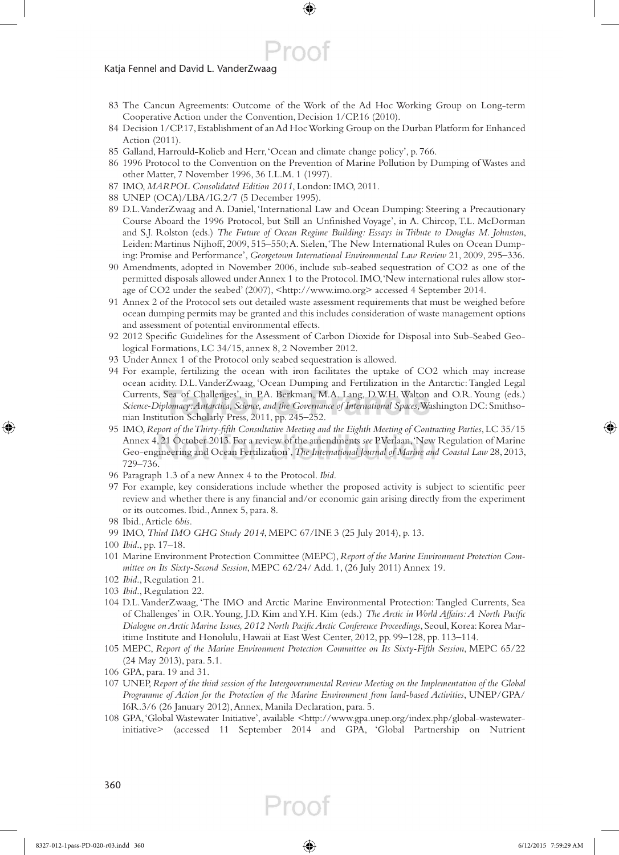- 83 The Cancun Agreements: Outcome of the Work of the Ad Hoc Working Group on Long-term Cooperative Action under the Convention, Decision 1/CP.16 (2010).
- 84 Decision 1/CP.17, Establishment of an Ad Hoc Working Group on the Durban Platform for Enhanced Action (2011).
- 85 Galland, Harrould-Kolieb and Herr, 'Ocean and climate change policy', p. 766.
- 86 1996 Protocol to the Convention on the Prevention of Marine Pollution by Dumping of Wastes and other Matter, 7 November 1996, 36 I.L.M. 1 (1997).
- 87 IMO, *MARPOL Consolidated Edition 2011*, London: IMO, 2011.
- 88 UNEP (OCA)/LBA/IG.2/7 (5 December 1995).
- 89 D.L. VanderZwaag and A. Daniel, 'International Law and Ocean Dumping: Steering a Precautionary Course Aboard the 1996 Protocol, but Still an Unfinished Voyage', in A. Chircop, T.L. McDorman and S.J. Rolston (eds.) *The Future of Ocean Regime Building: Essays in Tribute to Douglas M. Johnston*, Leiden: Martinus Nijhoff, 2009, 515–550; A. Sielen, 'The New International Rules on Ocean Dumping: Promise and Performance', *Georgetown International Environmental Law Review* 21, 2009, 295–336.
- 90 Amendments, adopted in November 2006, include sub-seabed sequestration of CO2 as one of the permitted disposals allowed under Annex 1 to the Protocol. IMO, 'New international rules allow storage of CO2 under the seabed' (2007), <http://www.imo.org> accessed 4 September 2014.
- 91 Annex 2 of the Protocol sets out detailed waste assessment requirements that must be weighed before ocean dumping permits may be granted and this includes consideration of waste management options and assessment of potential environmental effects.
- 92 2012 Specific Guidelines for the Assessment of Carbon Dioxide for Disposal into Sub-Seabed Geological Formations, LC 34/15, annex 8, 2 November 2012.
- 93 Under Annex 1 of the Protocol only seabed sequestration is allowed.
- 94 For example, fertilizing the ocean with iron facilitates the uptake of CO2 which may increase ocean acidity. D.L. VanderZwaag, 'Ocean Dumping and Fertilization in the Antarctic: Tangled Legal Currents, Sea of Challenges', in P.A. Berkman, M.A. Lang, D.W.H. Walton and O.R. Young (eds.) *Science-Diplomacy: Antarctica, Science, and the Governance of International Spaces*, Washington DC: Smithsonian Institution Scholarly Press, 2011, pp. 245–252.
- 95 IMO, *Report of the Thirty-fifth Consultative Meeting and the Eighth Meeting of Contracting Parties*, LC 35/15 Annex 4, 21 October 2013. For a review of the amendments *see* P. Verlaan, 'New Regulation of Marine Geo-engineering and Ocean Fertilization', *The International Journal of Marine and Coastal Law* 28, 2013, 729–736.
- 96 Paragraph 1.3 of a new Annex 4 to the Protocol. *Ibid*.
- 97 For example, key considerations include whether the proposed activity is subject to scientific peer review and whether there is any financial and/or economic gain arising directly from the experiment or its outcomes. Ibid., Annex 5, para. 8.
- 98 Ibid., Article 6*bis*.

↔

- 99 IMO, *Third IMO GHG Study 2014*, MEPC 67/INF. 3 (25 July 2014), p. 13.
- 100 *Ibid*., pp. 17–18.
- 101 Marine Environment Protection Committee (MEPC), *Report of the Marine Environment Protection Committee on Its Sixty-Second Session*, MEPC 62/24/ Add. 1, (26 July 2011) Annex 19.
- 102 *Ibid*., Regulation 21.
- 103 *Ibid*., Regulation 22.
- 104 D.L. VanderZwaag, 'The IMO and Arctic Marine Environmental Protection: Tangled Currents, Sea of Challenges' in O.R. Young, J.D. Kim and Y.H. Kim (eds.) *The Arctic in World Affairs: A North Pacific Dialogue on Arctic Marine Issues, 2012 North Pacific Arctic Conference Proceedings*, Seoul, Korea: Korea Maritime Institute and Honolulu, Hawaii at East West Center, 2012, pp. 99–128, pp. 113–114.
- 105 MEPC, *Report of the Marine Environment Protection Committee on Its Sixty-Fifth Session*, MEPC 65/22 (24 May 2013), para. 5.1.
- 106 GPA, para. 19 and 31.
- 107 UNEP, *Report of the third session of the Intergovernmental Review Meeting on the Implementation of the Global Programme of Action for the Protection of the Marine Environment from land-based Activities*, UNEP/GPA/ I6R.3/6 (26 January 2012), Annex, Manila Declaration, para. 5.
- 108 GPA, 'Global Wastewater Initiative', available <http://www.gpa.unep.org/index.php/global-wastewaterinitiative> (accessed 11 September 2014 and GPA, 'Global Partnership on Nutrient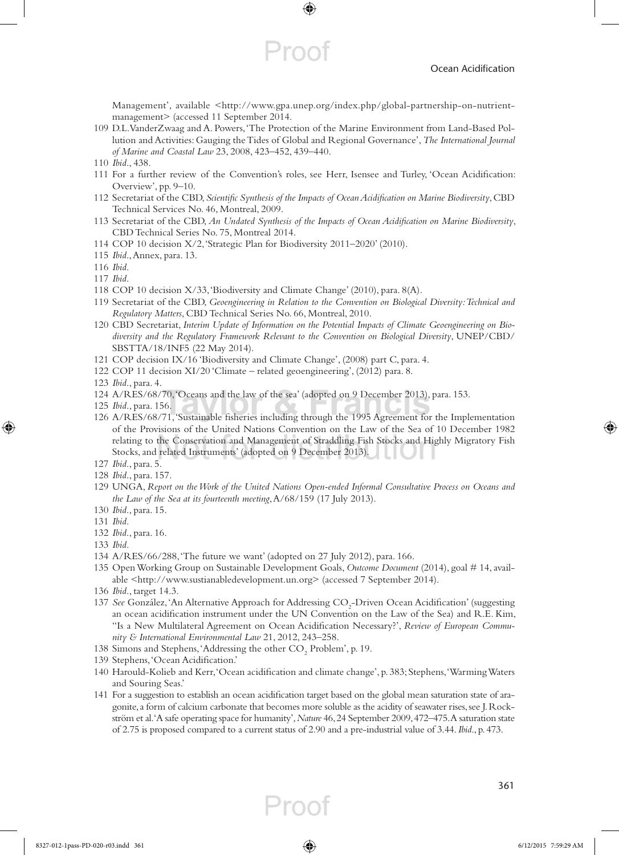Management', available <http://www.gpa.unep.org/index.php/global-partnership-on-nutrientmanagement> (accessed 11 September 2014.

109 D.L. VanderZwaag and A. Powers, 'The Protection of the Marine Environment from Land-Based Pollution and Activities: Gauging the Tides of Global and Regional Governance', *The International Journal of Marine and Coastal Law* 23, 2008, 423–452, 439–440.

- 111 For a further review of the Convention's roles, see Herr, Isensee and Turley, 'Ocean Acidification: Overview', pp. 9–10.
- 112 Secretariat of the CBD, *Scientific Synthesis of the Impacts of Ocean Acidification on Marine Biodiversity*, CBD Technical Services No. 46, Montreal, 2009.
- 113 Secretariat of the CBD, *An Undated Synthesis of the Impacts of Ocean Acidification on Marine Biodiversity*, CBD Technical Series No. 75, Montreal 2014.
- 114 COP 10 decision X/2, 'Strategic Plan for Biodiversity 2011–2020' (2010).
- 115 *Ibid*., Annex, para. 13.
- 116 *Ibid*.
- 117 *Ibid*.
- 118 COP 10 decision X/33, 'Biodiversity and Climate Change' (2010), para. 8(A).
- 119 Secretariat of the CBD, *Geoengineering in Relation to the Convention on Biological Diversity: Technical and Regulatory Matters*, CBD Technical Series No. 66, Montreal, 2010.
- 120 CBD Secretariat, *Interim Update of Information on the Potential Impacts of Climate Geoengineering on Biodiversity and the Regulatory Framework Relevant to the Convention on Biological Diversity*, UNEP/CBD/ SBSTTA/18/INF5 (22 May 2014).
- 121 COP decision IX/16 'Biodiversity and Climate Change', (2008) part C, para. 4.
- 122 COP 11 decision XI/20 'Climate related geoengineering', (2012) para. 8.
- 123 *Ibid*., para. 4.
- 124 A/RES/68/70, 'Oceans and the law of the sea' (adopted on 9 December 2013), para. 153.
- 125 *Ibid*., para. 156.
- 126 A/RES/68/71, 'Sustainable fisheries including through the 1995 Agreement for the Implementation of the Provisions of the United Nations Convention on the Law of the Sea of 10 December 1982 relating to the Conservation and Management of Straddling Fish Stocks and Highly Migratory Fish Stocks, and related Instruments' (adopted on 9 December 2013).
- 127 *Ibid*., para. 5.
- 128 *Ibid*., para. 157.
- 129 UNGA, *Report on the Work of the United Nations Open-ended Informal Consultative Process on Oceans and the Law of the Sea at its fourteenth meeting*, A/68/159 (17 July 2013).
- 130 *Ibid*., para. 15.
- 131 *Ibid*.

↔

- 132 *Ibid*., para. 16.
- 133 *Ibid*.
- 134 A/RES/66/288, 'The future we want' (adopted on 27 July 2012), para. 166.
- 135 Open Working Group on Sustainable Development Goals, *Outcome Document* (2014), goal # 14, available <http://www.sustianabledevelopment.un.org> (accessed 7 September 2014).
- 136 *Ibid*., target 14.3.
- 137 See González, 'An Alternative Approach for Addressing CO<sub>2</sub>-Driven Ocean Acidification' (suggesting an ocean acidification instrument under the UN Convention on the Law of the Sea) and R.E. Kim, "Is a New Multilateral Agreement on Ocean Acidification Necessary?', *Review of European Community & International Environmental Law* 21, 2012, 243–258.
- 138 Simons and Stephens, 'Addressing the other  $\mathrm{CO}_2$  Problem', p. 19.
- 139 Stephens, 'Ocean Acidification.'
- 140 Harould-Kolieb and Kerr, 'Ocean acidification and climate change', p. 383; Stephens, 'Warming Waters and Souring Seas.'
- 141 For a suggestion to establish an ocean acidification target based on the global mean saturation state of aragonite, a form of calcium carbonate that becomes more soluble as the acidity of seawater rises, see J. Rockström etal. 'A safe operating space for humanity', *Nature* 46, 24 September 2009, 472–475. A saturation state of 2.75 is proposed compared to a current status of 2.90 and a pre-industrial value of 3.44. *Ibid*., p. 473.

↔

-l.OO.

<sup>110</sup> *Ibid*., 438.